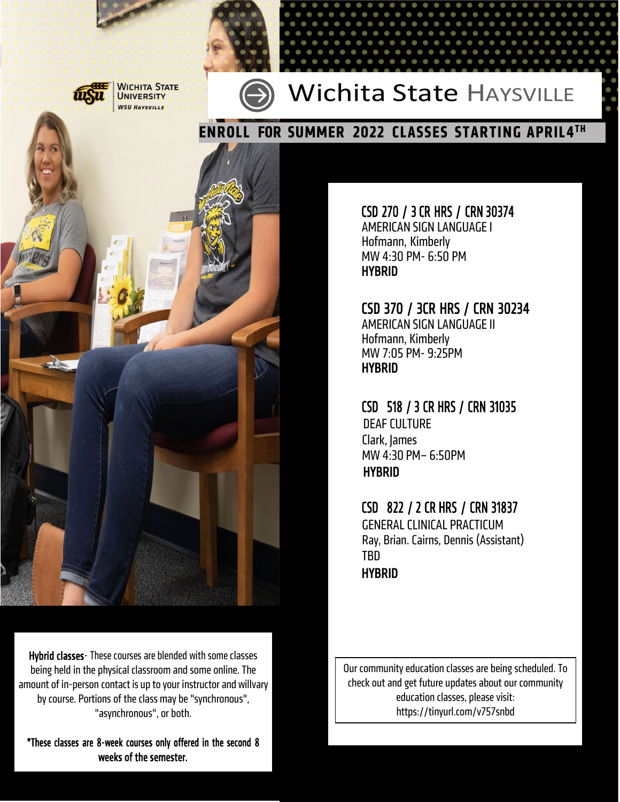

**JICHITA STATE UNIVERSITY WSU HAYSVILLE** 



### Wichita State HAYSVILLE



Hybrid classes - These courses are blended with some classes being held in the physical classroom and some online. [The](http://www.wsutech.edu/) amount of in-person contact is up to your instructor and willvary [by course. Portions of the class may be "synchronous",](http://www.wsutech.edu/) "asynchronous", or both.

\*These classes are 8-week courses only offered in the second 8 weeks of the semester.

CSD 270 / 3 CR HRS / CRN 30374 AMERICAN SIGN LANGUAGEI

Hofmann, Kimberly MW 4:30 PM- 6:50 PM HYBRID

# CSD 370 / 3CR HRS / CRN 30234 AMERICAN SIGN LANGUAGEII

Hofmann, Kimberly MW 7:05 PM- 9:25PM HYBRID

CSD 518 / 3 CR HRS / CRN 31035 DEAF CULTURE Clark, James MW 4:30 PM– 6:50PM HYBRID

#### CSD 822 / 2 CR HRS / CRN 31837

**GENERAL CLINICAL PRACTICUM** Ray, Brian.Cairns, Dennis (Assistant) TBD HYBRID

Our community education classes are being scheduled. To check out and get future updates about our community education classes, please visit: https://tinyurl.com/v757snbd